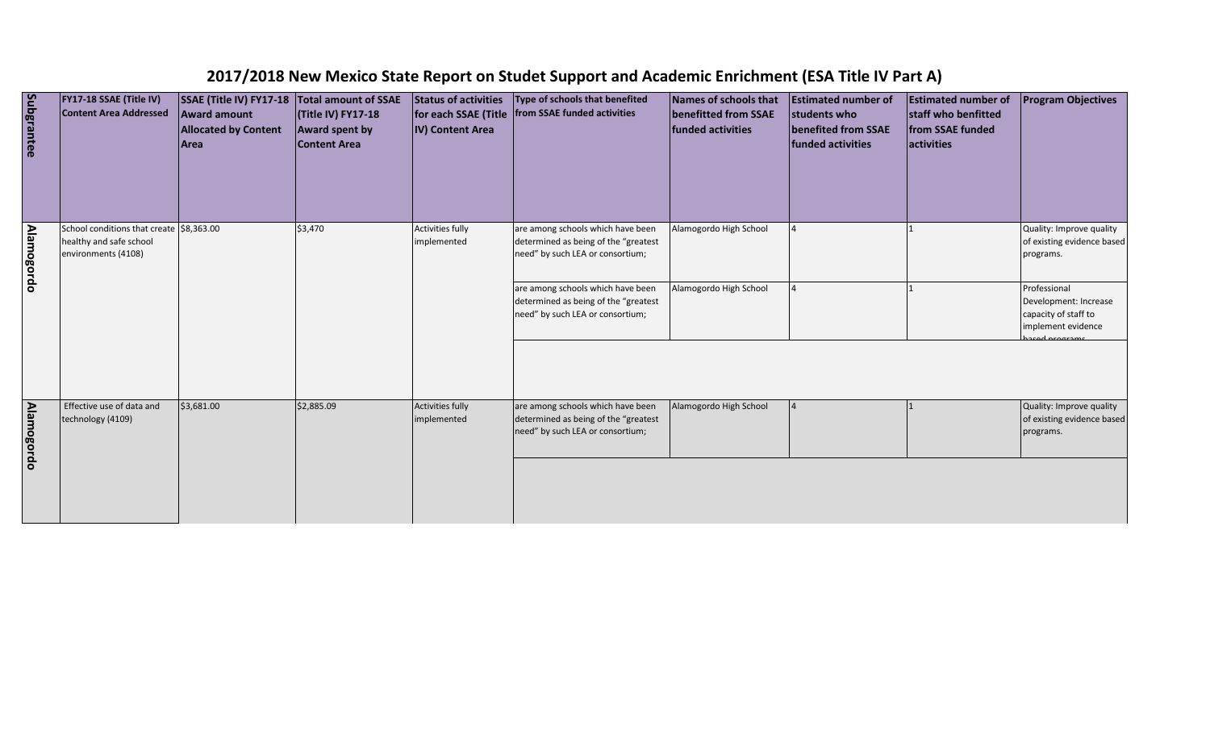| Subgrantee        | FY17-18 SSAE (Title IV)<br><b>Content Area Addressed</b>                                   | SSAE (Title IV) FY17-18<br><b>Award amount</b><br><b>Allocated by Content</b><br>Area | Total amount of SSAE<br>(Title IV) FY17-18<br><b>Award spent by</b><br><b>Content Area</b> | <b>Status of activities</b><br>for each SSAE (Title<br>IV) Content Area | Type of schools that benefited<br>from SSAE funded activities                                                                                      | Names of schools that<br>benefitted from SSAE<br>funded activities | <b>Estimated number of</b><br>students who<br><b>benefited from SSAE</b><br>funded activities | <b>Estimated number of</b><br>staff who benfitted<br>from SSAE funded<br>activities | <b>Program Objectives</b>                                                           |
|-------------------|--------------------------------------------------------------------------------------------|---------------------------------------------------------------------------------------|--------------------------------------------------------------------------------------------|-------------------------------------------------------------------------|----------------------------------------------------------------------------------------------------------------------------------------------------|--------------------------------------------------------------------|-----------------------------------------------------------------------------------------------|-------------------------------------------------------------------------------------|-------------------------------------------------------------------------------------|
| <b>Alamogordo</b> | School conditions that create \$8,363.00<br>healthy and safe school<br>environments (4108) |                                                                                       | \$3,470                                                                                    | <b>Activities fully</b><br>implemented                                  | are among schools which have been<br>determined as being of the "greatest<br>need" by such LEA or consortium;<br>are among schools which have been | Alamogordo High School<br>Alamogordo High School                   |                                                                                               |                                                                                     | Quality: Improve quality<br>of existing evidence based<br>programs.<br>Professional |
|                   |                                                                                            |                                                                                       |                                                                                            |                                                                         | determined as being of the "greatest<br>need" by such LEA or consortium;                                                                           |                                                                    |                                                                                               |                                                                                     | Development: Increase<br>capacity of staff to<br>implement evidence<br>rod program  |
| <b>Alamogordo</b> | Effective use of data and<br>technology (4109)                                             | \$3,681.00                                                                            | \$2,885.09                                                                                 | <b>Activities fully</b><br>implemented                                  | are among schools which have been<br>determined as being of the "greatest<br>need" by such LEA or consortium;                                      | Alamogordo High School                                             |                                                                                               |                                                                                     | Quality: Improve quality<br>of existing evidence based<br>programs.                 |
|                   |                                                                                            |                                                                                       |                                                                                            |                                                                         |                                                                                                                                                    |                                                                    |                                                                                               |                                                                                     |                                                                                     |

## **2017/2018 New Mexico State Report on Studet Support and Academic Enrichment (ESA Title IV Part A)**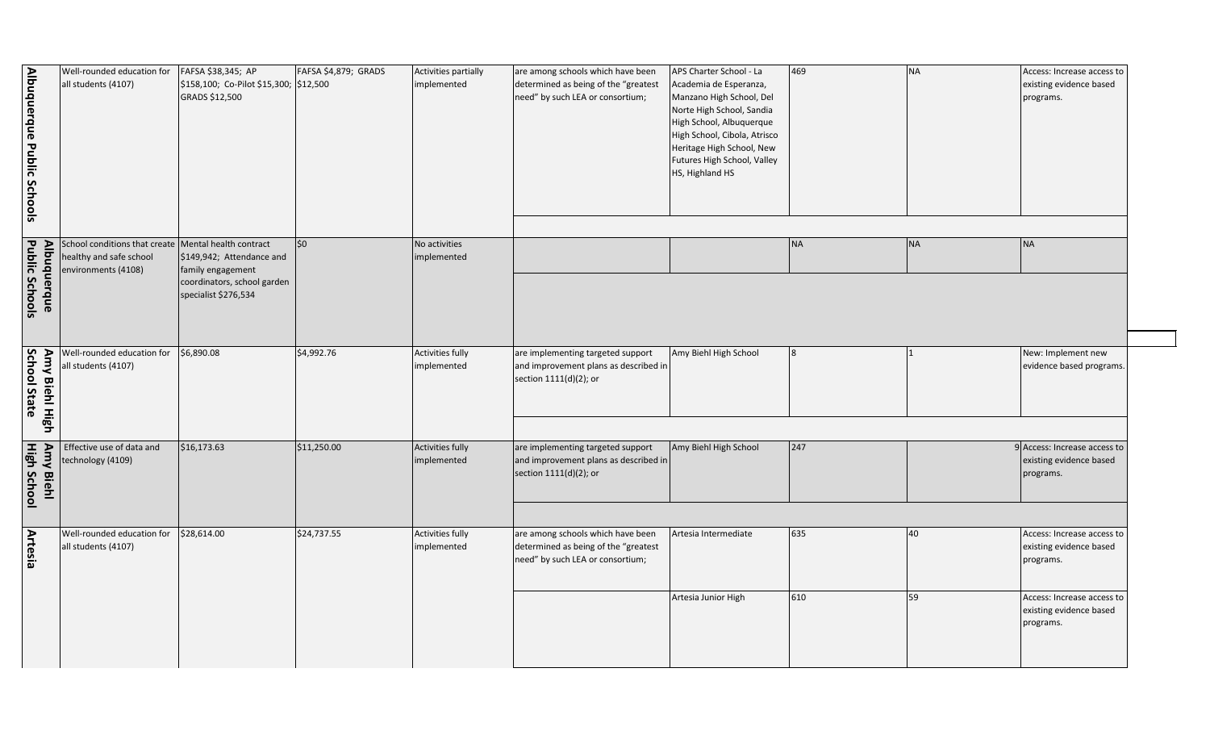| APS Charter School - La<br>Academia de Esperanza,<br>Manzano High School, Del<br>Norte High School, Sandia<br>High School, Albuquerque<br>High School, Cibola, Atrisco<br>Heritage High School, New<br>Futures High School, Valley<br>HS, Highland HS | 469              | <b>NA</b> | Access: Increase access to<br>existing evidence based<br>programs. |
|-------------------------------------------------------------------------------------------------------------------------------------------------------------------------------------------------------------------------------------------------------|------------------|-----------|--------------------------------------------------------------------|
|                                                                                                                                                                                                                                                       | <b>NA</b>        | <b>NA</b> | <b>NA</b>                                                          |
|                                                                                                                                                                                                                                                       |                  |           |                                                                    |
| Amy Biehl High School                                                                                                                                                                                                                                 | $\boldsymbol{8}$ | 1         | New: Implement new<br>evidence based programs.                     |
| Amy Biehl High School                                                                                                                                                                                                                                 | 247              |           | 9 Access: Increase access to                                       |
|                                                                                                                                                                                                                                                       |                  |           | existing evidence based<br>programs.                               |
|                                                                                                                                                                                                                                                       |                  |           |                                                                    |
| Artesia Intermediate                                                                                                                                                                                                                                  | 635              | 40        | Access: Increase access to<br>existing evidence based<br>programs. |
| Artesia Junior High                                                                                                                                                                                                                                   | 610              | 59        | Access: Increase access to<br>existing evidence based<br>programs. |

| Albuquerque Public Schools             | Well-rounded education for<br>all students (4107)                                                        | FAFSA \$38,345; AP<br>\$158,100; Co-Pilot \$15,300; \$12,500<br>GRADS \$12,500 | FAFSA \$4,879; GRADS | Activities partially<br>implemented    | are among schools which have been<br>determined as being of the "greatest<br>need" by such LEA or consortium; | APS Charter School - La<br>Academia de Esperanza,<br>Manzano High School, Del<br>Norte High School, Sandia<br>High School, Albuquerque<br>High School, Cibola, Atrisco<br>Heritage High School, New<br>Futures High School, Valley<br>HS, Highland HS | 469       |
|----------------------------------------|----------------------------------------------------------------------------------------------------------|--------------------------------------------------------------------------------|----------------------|----------------------------------------|---------------------------------------------------------------------------------------------------------------|-------------------------------------------------------------------------------------------------------------------------------------------------------------------------------------------------------------------------------------------------------|-----------|
|                                        | School conditions that create   Mental health contract<br>healthy and safe school<br>environments (4108) | \$149,942; Attendance and<br>family engagement                                 | \$0                  | No activities<br>implemented           |                                                                                                               |                                                                                                                                                                                                                                                       | <b>NA</b> |
| Public Schools<br>Albuquerque          |                                                                                                          | coordinators, school garden<br>specialist \$276,534                            |                      |                                        |                                                                                                               |                                                                                                                                                                                                                                                       |           |
| School State<br>Amy Biehl High         | Well-rounded education for<br>all students (4107)                                                        | \$6,890.08                                                                     | \$4,992.76           | Activities fully<br>implemented        | are implementing targeted support<br>and improvement plans as described in<br>section 1111(d)(2); or          | Amy Biehl High School                                                                                                                                                                                                                                 | 8         |
| <b>Amy Biehl</b><br><b>High School</b> | Effective use of data and<br>technology (4109)                                                           | \$16,173.63                                                                    | \$11,250.00          | <b>Activities fully</b><br>implemented | are implementing targeted support<br>and improvement plans as described in<br>section 1111(d)(2); or          | Amy Biehl High School                                                                                                                                                                                                                                 | 247       |
| Artesia                                | Well-rounded education for<br>all students (4107)                                                        | \$28,614.00                                                                    | \$24,737.55          | <b>Activities fully</b><br>implemented | are among schools which have been<br>determined as being of the "greatest<br>need" by such LEA or consortium; | Artesia Intermediate                                                                                                                                                                                                                                  | 635       |
|                                        |                                                                                                          |                                                                                |                      |                                        |                                                                                                               | Artesia Junior High                                                                                                                                                                                                                                   | 610       |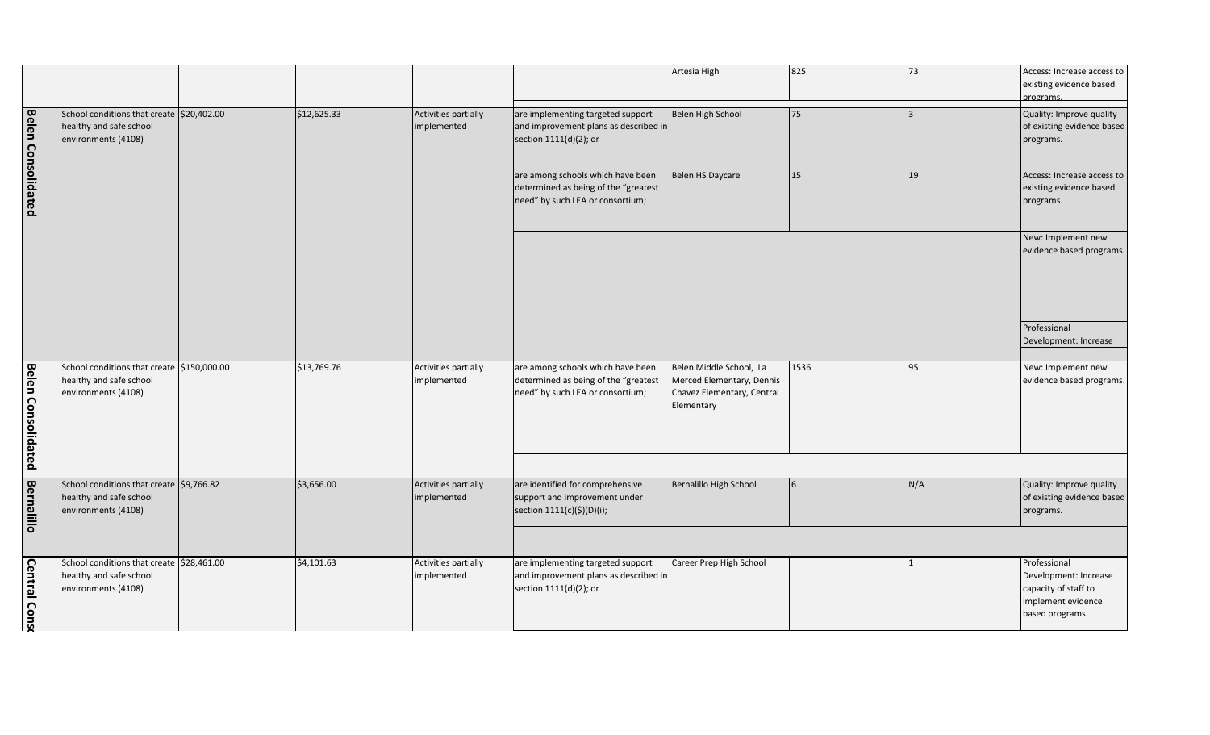| Artesia High                                                                                     | 825             | 73  | Access: Increase access to<br>existing evidence based<br>programs.                                     |
|--------------------------------------------------------------------------------------------------|-----------------|-----|--------------------------------------------------------------------------------------------------------|
| Belen High School                                                                                | 75              | 3   | Quality: Improve quality<br>of existing evidence based<br>programs.                                    |
| <b>Belen HS Daycare</b>                                                                          | 15              | 19  | Access: Increase access to<br>existing evidence based<br>programs.                                     |
|                                                                                                  |                 |     | New: Implement new<br>evidence based programs.                                                         |
|                                                                                                  |                 |     | Professional<br>Development: Increase                                                                  |
| Belen Middle School, La<br>Merced Elementary, Dennis<br>Chavez Elementary, Central<br>Elementary | 1536            | 95  | New: Implement new<br>evidence based programs.                                                         |
|                                                                                                  |                 |     |                                                                                                        |
| Bernalillo High School                                                                           | $6\phantom{.}6$ | N/A | Quality: Improve quality<br>of existing evidence based<br>programs.                                    |
|                                                                                                  |                 |     |                                                                                                        |
| Career Prep High School                                                                          |                 | 1   | Professional<br>Development: Increase<br>capacity of staff to<br>implement evidence<br>based programs. |

|                           |                                                                                              |             |                                     |                                                                                                               | Artesia High                                                                                     | 825  |
|---------------------------|----------------------------------------------------------------------------------------------|-------------|-------------------------------------|---------------------------------------------------------------------------------------------------------------|--------------------------------------------------------------------------------------------------|------|
| <b>Belen Consolidated</b> | School conditions that create \$20,402.00<br>healthy and safe school<br>environments (4108)  | \$12,625.33 | Activities partially<br>implemented | are implementing targeted support<br>and improvement plans as described in<br>section 1111(d)(2); or          | Belen High School                                                                                | 75   |
|                           |                                                                                              |             |                                     | are among schools which have been<br>determined as being of the "greatest<br>need" by such LEA or consortium; | Belen HS Daycare                                                                                 | 15   |
|                           |                                                                                              |             |                                     |                                                                                                               |                                                                                                  |      |
| <b>Belen Consolidated</b> | School conditions that create \$150,000.00<br>healthy and safe school<br>environments (4108) | \$13,769.76 | Activities partially<br>implemented | are among schools which have been<br>determined as being of the "greatest<br>need" by such LEA or consortium; | Belen Middle School, La<br>Merced Elementary, Dennis<br>Chavez Elementary, Central<br>Elementary | 1536 |
| <u>Bernalillo</u>         | School conditions that create \$9,766.82<br>healthy and safe school<br>environments (4108)   | \$3,656.00  | Activities partially<br>implemented | are identified for comprehensive<br>support and improvement under<br>section 1111(c)(\$)(D)(i);               | Bernalillo High School                                                                           | 6    |
| <b>Central Conso</b>      | School conditions that create \$28,461.00<br>healthy and safe school<br>environments (4108)  | \$4,101.63  | Activities partially<br>implemented | are implementing targeted support<br>and improvement plans as described in<br>section 1111(d)(2); or          | Career Prep High School                                                                          |      |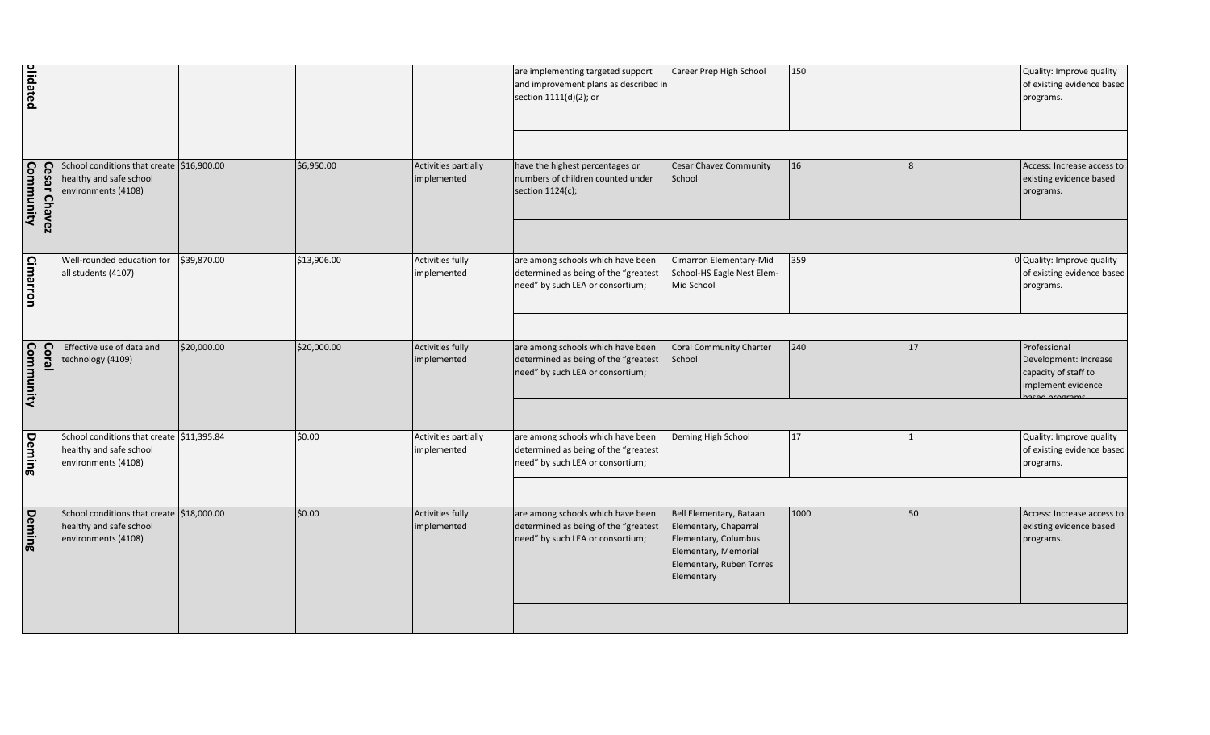| olidated                  |                                                                                             |             |             |                                        | are implementing targeted support<br>and improvement plans as described in<br>section 1111(d)(2); or          | Career Prep High School                                                                                                                    | 150  |    | Quality: Improve quality<br>of existing evidence based<br>programs.                 |
|---------------------------|---------------------------------------------------------------------------------------------|-------------|-------------|----------------------------------------|---------------------------------------------------------------------------------------------------------------|--------------------------------------------------------------------------------------------------------------------------------------------|------|----|-------------------------------------------------------------------------------------|
|                           |                                                                                             |             |             |                                        |                                                                                                               |                                                                                                                                            |      |    |                                                                                     |
| Cesar Chavez<br>Community | School conditions that create \$16,900.00<br>healthy and safe school<br>environments (4108) |             | \$6,950.00  | Activities partially<br>implemented    | have the highest percentages or<br>numbers of children counted under<br>section 1124(c);                      | <b>Cesar Chavez Community</b><br>School                                                                                                    | 16   |    | Access: Increase access to<br>existing evidence based<br>programs.                  |
|                           |                                                                                             |             |             |                                        |                                                                                                               |                                                                                                                                            |      |    |                                                                                     |
| Cimarron                  | Well-rounded education for<br>all students (4107)                                           | \$39,870.00 | \$13,906.00 | Activities fully<br>implemented        | are among schools which have been<br>determined as being of the "greatest<br>need" by such LEA or consortium; | Cimarron Elementary-Mid<br>School-HS Eagle Nest Elem-<br>Mid School                                                                        | 359  |    | 0 Quality: Improve quality<br>of existing evidence based<br>programs.               |
|                           |                                                                                             |             |             |                                        |                                                                                                               |                                                                                                                                            |      |    |                                                                                     |
| Coral<br>Community        | Effective use of data and<br>technology (4109)                                              | \$20,000.00 | \$20,000.00 | Activities fully<br>implemented        | are among schools which have been<br>determined as being of the "greatest<br>need" by such LEA or consortium; | Coral Community Charter<br>School                                                                                                          | 240  | 17 | Professional<br>Development: Increase<br>capacity of staff to<br>implement evidence |
|                           |                                                                                             |             |             |                                        |                                                                                                               |                                                                                                                                            |      |    |                                                                                     |
| Deming                    | School conditions that create \$11,395.84<br>healthy and safe school<br>environments (4108) |             | \$0.00      | Activities partially<br>implemented    | are among schools which have been<br>determined as being of the "greatest<br>need" by such LEA or consortium; | Deming High School                                                                                                                         | 17   |    | Quality: Improve quality<br>of existing evidence based<br>programs.                 |
|                           |                                                                                             |             |             |                                        |                                                                                                               |                                                                                                                                            |      |    |                                                                                     |
| <b>Deming</b>             | School conditions that create \$18,000.00<br>healthy and safe school<br>environments (4108) |             | \$0.00      | <b>Activities fully</b><br>implemented | are among schools which have been<br>determined as being of the "greatest<br>need" by such LEA or consortium; | Bell Elementary, Bataan<br>Elementary, Chaparral<br>Elementary, Columbus<br>Elementary, Memorial<br>Elementary, Ruben Torres<br>Elementary | 1000 | 50 | Access: Increase access to<br>existing evidence based<br>programs.                  |
|                           |                                                                                             |             |             |                                        |                                                                                                               |                                                                                                                                            |      |    |                                                                                     |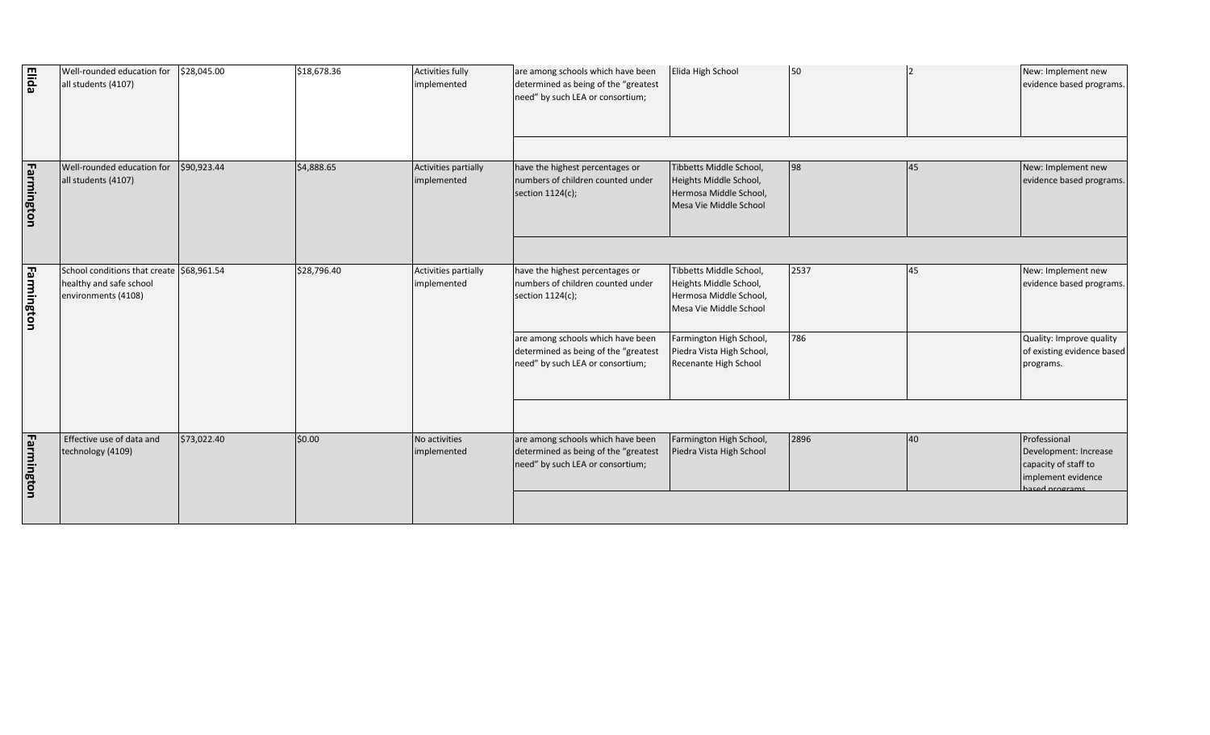| <b>Elida</b> | Well-rounded education for<br>all students (4107)                                           | \$28,045.00 | \$18,678.36 | <b>Activities fully</b><br>implemented | are among schools which have been<br>determined as being of the "greatest<br>need" by such LEA or consortium;                                                         | Elida High School                                                                                                                                             | 50          |    | New: Implement new<br>evidence based programs.                                                           |
|--------------|---------------------------------------------------------------------------------------------|-------------|-------------|----------------------------------------|-----------------------------------------------------------------------------------------------------------------------------------------------------------------------|---------------------------------------------------------------------------------------------------------------------------------------------------------------|-------------|----|----------------------------------------------------------------------------------------------------------|
| Farmington   | Well-rounded education for<br>all students (4107)                                           | \$90,923.44 | \$4,888.65  | Activities partially<br>implemented    | have the highest percentages or<br>numbers of children counted under<br>section 1124(c);                                                                              | Tibbetts Middle School,<br>Heights Middle School,<br>Hermosa Middle School,<br>Mesa Vie Middle School                                                         | 98          | 45 | New: Implement new<br>evidence based programs.                                                           |
| Farmington   | School conditions that create \$68,961.54<br>healthy and safe school<br>environments (4108) |             | \$28,796.40 | Activities partially<br>implemented    | have the highest percentages or<br>numbers of children counted under<br>section 1124(c);<br>are among schools which have been<br>determined as being of the "greatest | Tibbetts Middle School,<br>Heights Middle School,<br>Hermosa Middle School,<br>Mesa Vie Middle School<br>Farmington High School,<br>Piedra Vista High School, | 2537<br>786 | 45 | New: Implement new<br>evidence based programs.<br>Quality: Improve quality<br>of existing evidence based |
| Farmington   | Effective use of data and<br>technology (4109)                                              | \$73,022.40 | \$0.00      | No activities<br>implemented           | need" by such LEA or consortium;<br>are among schools which have been<br>determined as being of the "greatest<br>need" by such LEA or consortium;                     | Recenante High School<br>Farmington High School,<br>Piedra Vista High School                                                                                  | 2896        | 40 | programs.<br>Professional<br>Development: Increase<br>capacity of staff to<br>implement evidence         |
|              |                                                                                             |             |             |                                        |                                                                                                                                                                       |                                                                                                                                                               |             |    | ased programs                                                                                            |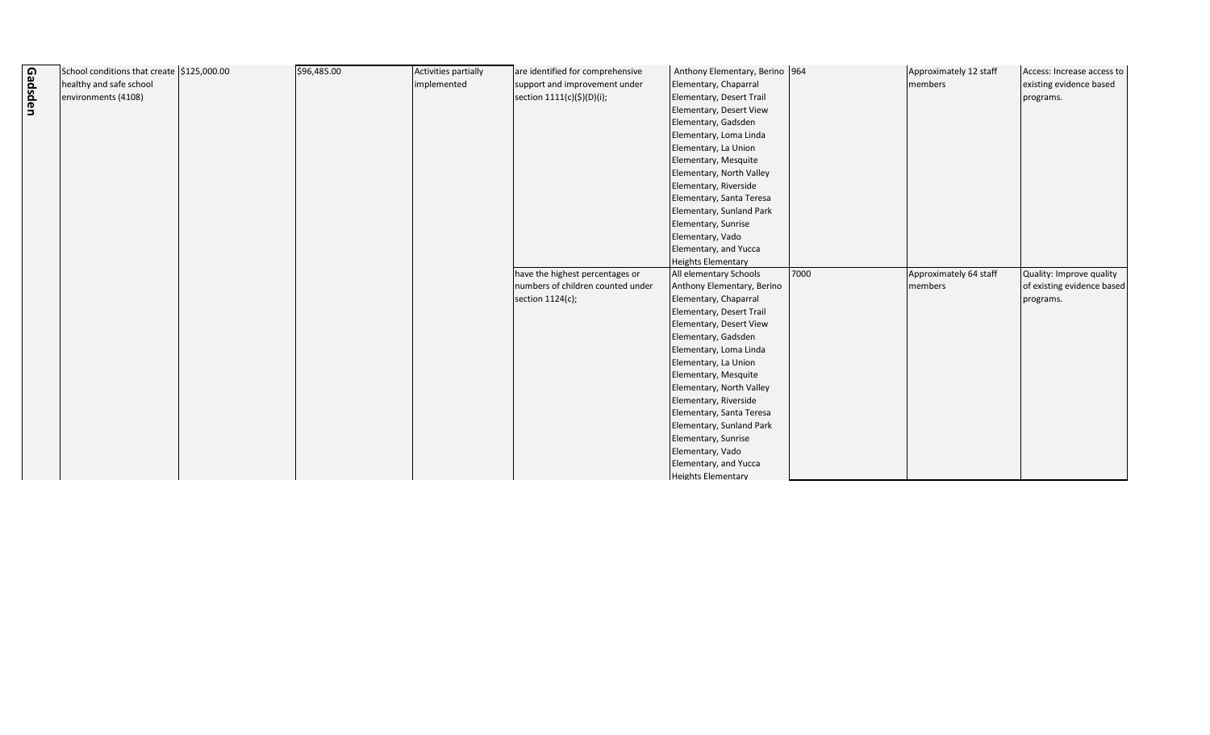|         | School conditions that create \$125,000.00 | \$96,485.00 | Activities partially | are identified for comprehensive  | Anthony Elementary, Berino 964                    |      |
|---------|--------------------------------------------|-------------|----------------------|-----------------------------------|---------------------------------------------------|------|
|         | healthy and safe school                    |             | implemented          | support and improvement under     | Elementary, Chaparral                             |      |
| Gadsden | environments (4108)                        |             |                      | section 1111(c)(\$)(D)(i);        | Elementary, Desert Trail                          |      |
|         |                                            |             |                      |                                   | Elementary, Desert View                           |      |
|         |                                            |             |                      |                                   | Elementary, Gadsden                               |      |
|         |                                            |             |                      |                                   | Elementary, Loma Linda                            |      |
|         |                                            |             |                      |                                   | Elementary, La Union                              |      |
|         |                                            |             |                      |                                   | Elementary, Mesquite                              |      |
|         |                                            |             |                      |                                   | Elementary, North Valley                          |      |
|         |                                            |             |                      |                                   |                                                   |      |
|         |                                            |             |                      |                                   | Elementary, Riverside<br>Elementary, Santa Teresa |      |
|         |                                            |             |                      |                                   | Elementary, Sunland Park                          |      |
|         |                                            |             |                      |                                   | Elementary, Sunrise                               |      |
|         |                                            |             |                      |                                   |                                                   |      |
|         |                                            |             |                      |                                   | Elementary, Vado                                  |      |
|         |                                            |             |                      |                                   | Elementary, and Yucca                             |      |
|         |                                            |             |                      | have the highest percentages or   | <b>Heights Elementary</b>                         | 7000 |
|         |                                            |             |                      |                                   | All elementary Schools                            |      |
|         |                                            |             |                      | numbers of children counted under | Anthony Elementary, Berino                        |      |
|         |                                            |             |                      | section 1124(c);                  | Elementary, Chaparral                             |      |
|         |                                            |             |                      |                                   | Elementary, Desert Trail                          |      |
|         |                                            |             |                      |                                   | Elementary, Desert View                           |      |
|         |                                            |             |                      |                                   | Elementary, Gadsden                               |      |
|         |                                            |             |                      |                                   | Elementary, Loma Linda                            |      |
|         |                                            |             |                      |                                   | Elementary, La Union                              |      |
|         |                                            |             |                      |                                   | Elementary, Mesquite                              |      |
|         |                                            |             |                      |                                   | Elementary, North Valley                          |      |
|         |                                            |             |                      |                                   | Elementary, Riverside                             |      |
|         |                                            |             |                      |                                   | Elementary, Santa Teresa                          |      |
|         |                                            |             |                      |                                   | Elementary, Sunland Park                          |      |
|         |                                            |             |                      |                                   | Elementary, Sunrise                               |      |
|         |                                            |             |                      |                                   | Elementary, Vado                                  |      |
|         |                                            |             |                      |                                   | Elementary, and Yucca                             |      |
|         |                                            |             |                      |                                   | <b>Heights Elementary</b>                         |      |

| Approximately 12 staff<br>members | Access: Increase access to<br>existing evidence based<br>programs.  |
|-----------------------------------|---------------------------------------------------------------------|
| Approximately 64 staff<br>members | Quality: Improve quality<br>of existing evidence based<br>programs. |
|                                   |                                                                     |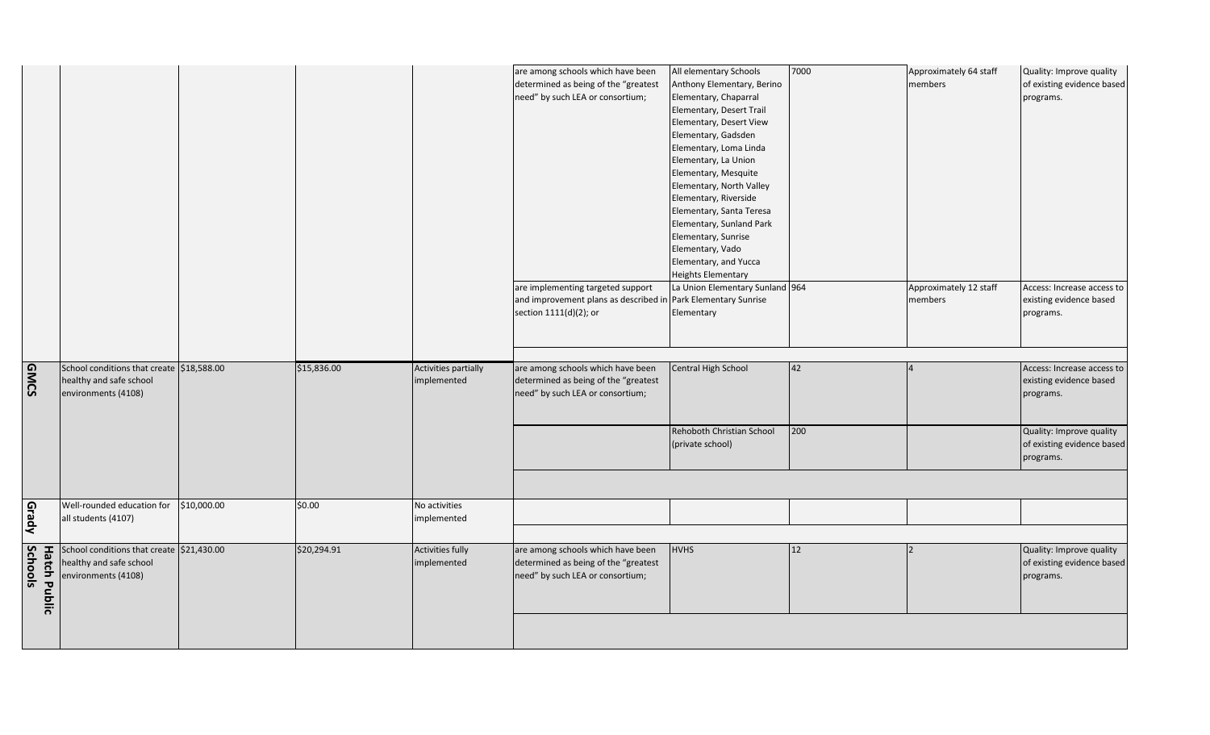| All elementary Schools          | 7000 | Approximately 64 staff | Quality: Improve quality   |
|---------------------------------|------|------------------------|----------------------------|
| Anthony Elementary, Berino      |      | members                | of existing evidence based |
| Elementary, Chaparral           |      |                        | programs.                  |
| Elementary, Desert Trail        |      |                        |                            |
| Elementary, Desert View         |      |                        |                            |
| Elementary, Gadsden             |      |                        |                            |
| Elementary, Loma Linda          |      |                        |                            |
| Elementary, La Union            |      |                        |                            |
| Elementary, Mesquite            |      |                        |                            |
| Elementary, North Valley        |      |                        |                            |
| Elementary, Riverside           |      |                        |                            |
| Elementary, Santa Teresa        |      |                        |                            |
| Elementary, Sunland Park        |      |                        |                            |
| Elementary, Sunrise             |      |                        |                            |
| Elementary, Vado                |      |                        |                            |
| Elementary, and Yucca           |      |                        |                            |
| <b>Heights Elementary</b>       |      |                        |                            |
| La Union Elementary Sunland 964 |      | Approximately 12 staff | Access: Increase access to |
| Park Elementary Sunrise         |      | members                | existing evidence based    |
| Elementary                      |      |                        | programs.                  |
|                                 |      |                        |                            |
|                                 |      |                        |                            |
|                                 |      |                        |                            |
| Central High School             | 42   | 4                      | Access: Increase access to |
|                                 |      |                        | existing evidence based    |
|                                 |      |                        | programs.                  |
|                                 |      |                        |                            |
|                                 |      |                        |                            |
| Rehoboth Christian School       | 200  |                        | Quality: Improve quality   |
| (private school)                |      |                        | of existing evidence based |
|                                 |      |                        |                            |
|                                 |      |                        | programs.                  |
|                                 |      |                        |                            |
|                                 |      |                        |                            |
|                                 |      |                        |                            |
|                                 |      |                        |                            |
|                                 |      |                        |                            |
| <b>HVHS</b>                     | 12   | 2                      | Quality: Improve quality   |
|                                 |      |                        | of existing evidence based |
|                                 |      |                        | programs.                  |
|                                 |      |                        |                            |
|                                 |      |                        |                            |
|                                 |      |                        |                            |
|                                 |      |                        |                            |

|             |              |                                           |             |             |                         | are among schools which have been<br>determined as being of the "greatest | All elementary Schools<br>Anthony Elementary, Berino |     |
|-------------|--------------|-------------------------------------------|-------------|-------------|-------------------------|---------------------------------------------------------------------------|------------------------------------------------------|-----|
|             |              |                                           |             |             |                         | need" by such LEA or consortium;                                          | Elementary, Chaparral                                |     |
|             |              |                                           |             |             |                         |                                                                           | Elementary, Desert Trail                             |     |
|             |              |                                           |             |             |                         |                                                                           | Elementary, Desert View                              |     |
|             |              |                                           |             |             |                         |                                                                           | Elementary, Gadsden                                  |     |
|             |              |                                           |             |             |                         |                                                                           | Elementary, Loma Linda                               |     |
|             |              |                                           |             |             |                         |                                                                           | Elementary, La Union                                 |     |
|             |              |                                           |             |             |                         |                                                                           | Elementary, Mesquite                                 |     |
|             |              |                                           |             |             |                         |                                                                           | Elementary, North Valley                             |     |
|             |              |                                           |             |             |                         |                                                                           | Elementary, Riverside                                |     |
|             |              |                                           |             |             |                         |                                                                           | Elementary, Santa Teresa                             |     |
|             |              |                                           |             |             |                         |                                                                           | Elementary, Sunland Park                             |     |
|             |              |                                           |             |             |                         |                                                                           | Elementary, Sunrise                                  |     |
|             |              |                                           |             |             |                         |                                                                           | Elementary, Vado                                     |     |
|             |              |                                           |             |             |                         |                                                                           | Elementary, and Yucca                                |     |
|             |              |                                           |             |             |                         |                                                                           | <b>Heights Elementary</b>                            |     |
|             |              |                                           |             |             |                         | are implementing targeted support                                         | La Union Elementary Sunland 964                      |     |
|             |              |                                           |             |             |                         | and improvement plans as described in Park Elementary Sunrise             |                                                      |     |
|             |              |                                           |             |             |                         | section 1111(d)(2); or                                                    | Elementary                                           |     |
|             |              |                                           |             |             |                         |                                                                           |                                                      |     |
|             |              |                                           |             |             |                         |                                                                           |                                                      |     |
|             |              |                                           |             |             |                         |                                                                           |                                                      |     |
|             |              |                                           |             |             |                         |                                                                           |                                                      |     |
|             |              | School conditions that create \$18,588.00 |             | \$15,836.00 | Activities partially    | are among schools which have been                                         | Central High School                                  | 42  |
|             |              | healthy and safe school                   |             |             | implemented             | determined as being of the "greatest                                      |                                                      |     |
| <b>GMCS</b> |              | environments (4108)                       |             |             |                         | need" by such LEA or consortium;                                          |                                                      |     |
|             |              |                                           |             |             |                         |                                                                           |                                                      |     |
|             |              |                                           |             |             |                         |                                                                           |                                                      |     |
|             |              |                                           |             |             |                         |                                                                           | Rehoboth Christian School                            | 200 |
|             |              |                                           |             |             |                         |                                                                           | (private school)                                     |     |
|             |              |                                           |             |             |                         |                                                                           |                                                      |     |
|             |              |                                           |             |             |                         |                                                                           |                                                      |     |
|             |              |                                           |             |             |                         |                                                                           |                                                      |     |
|             |              | Well-rounded education for                | \$10,000.00 | \$0.00      | No activities           |                                                                           |                                                      |     |
|             |              | all students (4107)                       |             |             | implemented             |                                                                           |                                                      |     |
| Grady       |              |                                           |             |             |                         |                                                                           |                                                      |     |
|             |              | School conditions that create \$21,430.00 |             | \$20,294.91 | <b>Activities fully</b> | are among schools which have been                                         | <b>HVHS</b>                                          | 12  |
|             |              | healthy and safe school                   |             |             | implemented             | determined as being of the "greatest                                      |                                                      |     |
|             |              | environments (4108)                       |             |             |                         |                                                                           |                                                      |     |
| Schools     | <b>Hatch</b> |                                           |             |             |                         | need" by such LEA or consortium;                                          |                                                      |     |
|             |              |                                           |             |             |                         |                                                                           |                                                      |     |
|             | Public       |                                           |             |             |                         |                                                                           |                                                      |     |
|             |              |                                           |             |             |                         |                                                                           |                                                      |     |
|             |              |                                           |             |             |                         |                                                                           |                                                      |     |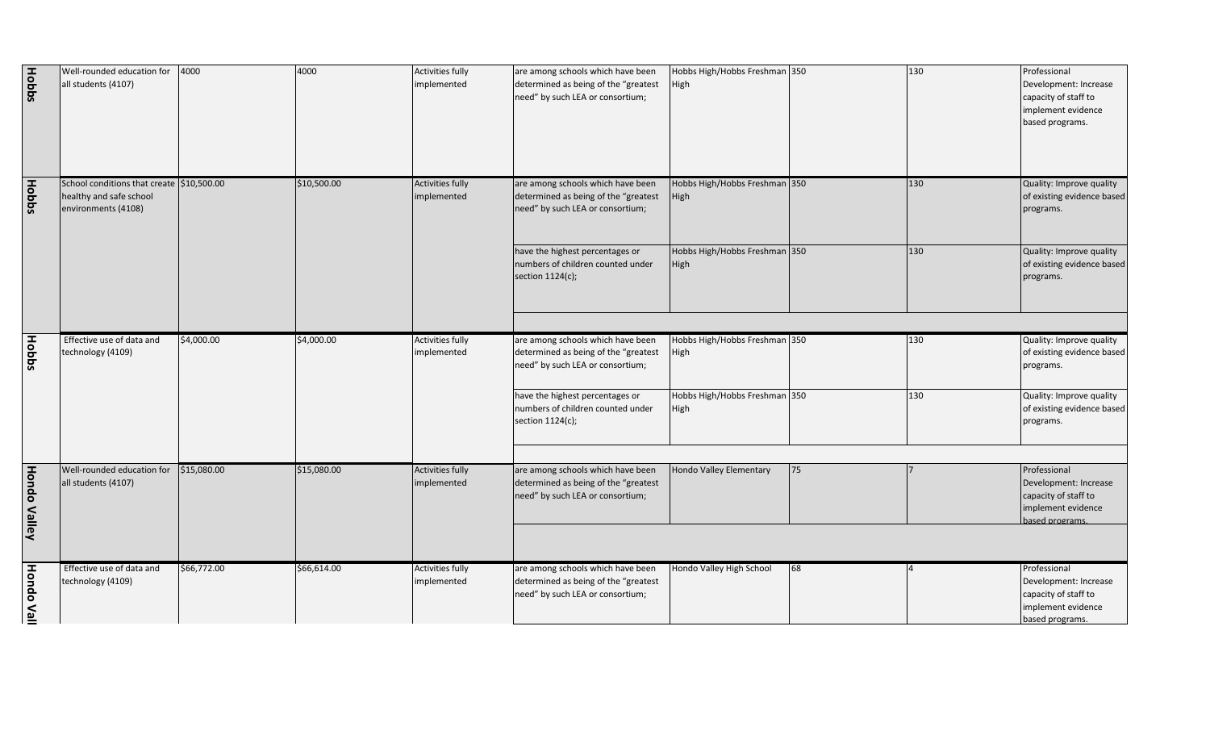| <b>Hobbs</b>        | Well-rounded education for<br>all students (4107)                                           | 4000        | 4000        | <b>Activities fully</b><br>implemented | are among schools which have been<br>determined as being of the "greatest<br>need" by such LEA or consortium; | Hobbs High/Hobbs Freshman 350<br>High |    | 130 | Professional<br>Development: Increase<br>capacity of staff to<br>implement evidence<br>based programs. |
|---------------------|---------------------------------------------------------------------------------------------|-------------|-------------|----------------------------------------|---------------------------------------------------------------------------------------------------------------|---------------------------------------|----|-----|--------------------------------------------------------------------------------------------------------|
| <b>Hobbs</b>        | School conditions that create \$10,500.00<br>healthy and safe school<br>environments (4108) |             | \$10,500.00 | <b>Activities fully</b><br>implemented | are among schools which have been<br>determined as being of the "greatest<br>need" by such LEA or consortium; | Hobbs High/Hobbs Freshman 350<br>High |    | 130 | Quality: Improve quality<br>of existing evidence based<br>programs.                                    |
|                     |                                                                                             |             |             |                                        | have the highest percentages or<br>numbers of children counted under<br>section 1124(c);                      | Hobbs High/Hobbs Freshman 350<br>High |    | 130 | Quality: Improve quality<br>of existing evidence based<br>programs.                                    |
| <b>Hobbs</b>        | Effective use of data and<br>technology (4109)                                              | \$4,000.00  | \$4,000.00  | <b>Activities fully</b><br>implemented | are among schools which have been<br>determined as being of the "greatest<br>need" by such LEA or consortium; | Hobbs High/Hobbs Freshman 350<br>High |    | 130 | Quality: Improve quality<br>of existing evidence based<br>programs.                                    |
|                     |                                                                                             |             |             |                                        | have the highest percentages or<br>numbers of children counted under<br>section 1124(c);                      | Hobbs High/Hobbs Freshman 350<br>High |    | 130 | Quality: Improve quality<br>of existing evidence based<br>programs.                                    |
| <b>Hondo Valley</b> | Well-rounded education for<br>all students (4107)                                           | \$15,080.00 | \$15,080.00 | Activities fully<br>implemented        | are among schools which have been<br>determined as being of the "greatest<br>need" by such LEA or consortium; | Hondo Valley Elementary               | 75 |     | Professional<br>Development: Increase<br>capacity of staff to<br>implement evidence<br>based programs  |
| <b>Hondo Vall</b>   | Effective use of data and<br>technology (4109)                                              | \$66,772.00 | \$66,614.00 | <b>Activities fully</b><br>implemented | are among schools which have been<br>determined as being of the "greatest<br>need" by such LEA or consortium; | Hondo Valley High School              | 68 |     | Professional<br>Development: Increase<br>capacity of staff to<br>implement evidence<br>based programs. |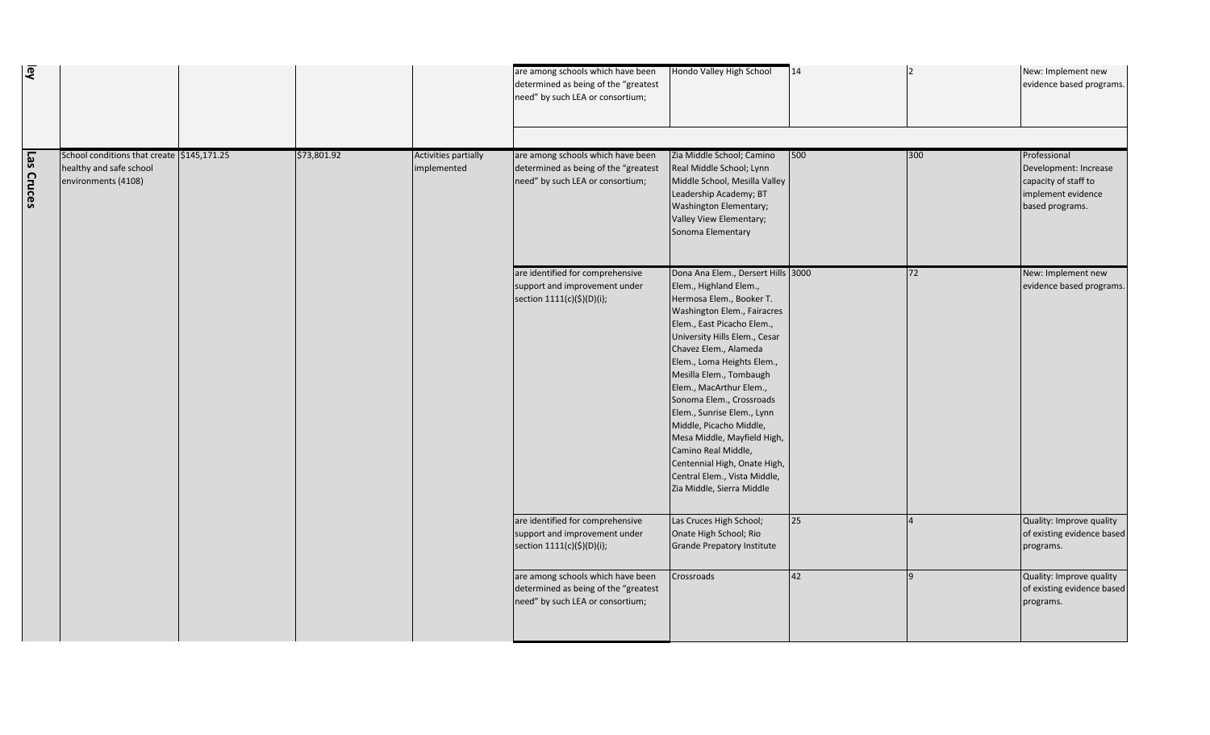| Hondo Valley High School                                                                                                                                                                                                                                                                                                                                                                                                                                                                                                                    | 14  |     | New: Implement new<br>evidence based programs.                                                         |
|---------------------------------------------------------------------------------------------------------------------------------------------------------------------------------------------------------------------------------------------------------------------------------------------------------------------------------------------------------------------------------------------------------------------------------------------------------------------------------------------------------------------------------------------|-----|-----|--------------------------------------------------------------------------------------------------------|
|                                                                                                                                                                                                                                                                                                                                                                                                                                                                                                                                             |     |     |                                                                                                        |
| Zia Middle School; Camino<br>Real Middle School; Lynn<br>Middle School, Mesilla Valley<br>Leadership Academy; BT<br>Washington Elementary;<br>Valley View Elementary;<br>Sonoma Elementary                                                                                                                                                                                                                                                                                                                                                  | 500 | 300 | Professional<br>Development: Increase<br>capacity of staff to<br>implement evidence<br>based programs. |
| Dona Ana Elem., Dersert Hills 3000<br>Elem., Highland Elem.,<br>Hermosa Elem., Booker T.<br>Washington Elem., Fairacres<br>Elem., East Picacho Elem.,<br>University Hills Elem., Cesar<br>Chavez Elem., Alameda<br>Elem., Loma Heights Elem.,<br>Mesilla Elem., Tombaugh<br>Elem., MacArthur Elem.,<br>Sonoma Elem., Crossroads<br>Elem., Sunrise Elem., Lynn<br>Middle, Picacho Middle,<br>Mesa Middle, Mayfield High,<br>Camino Real Middle,<br>Centennial High, Onate High,<br>Central Elem., Vista Middle,<br>Zia Middle, Sierra Middle |     | 72  | New: Implement new<br>evidence based programs.                                                         |
| Las Cruces High School;<br>Onate High School; Rio<br><b>Grande Prepatory Institute</b>                                                                                                                                                                                                                                                                                                                                                                                                                                                      | 25  | 4   | Quality: Improve quality<br>of existing evidence based<br>programs.                                    |
| Crossroads                                                                                                                                                                                                                                                                                                                                                                                                                                                                                                                                  | 42  | 9   | Quality: Improve quality<br>of existing evidence based<br>programs.                                    |

| ey         |                                                                                              |             |                                     | are among schools which have been<br>determined as being of the "greatest<br>need" by such LEA or consortium; | Hondo Valley High School                                                                                                                                                                                                                                                                                                                                                                                                                                                                                                                    | 14  |
|------------|----------------------------------------------------------------------------------------------|-------------|-------------------------------------|---------------------------------------------------------------------------------------------------------------|---------------------------------------------------------------------------------------------------------------------------------------------------------------------------------------------------------------------------------------------------------------------------------------------------------------------------------------------------------------------------------------------------------------------------------------------------------------------------------------------------------------------------------------------|-----|
| Las Cruces | School conditions that create \$145,171.25<br>healthy and safe school<br>environments (4108) | \$73,801.92 | Activities partially<br>implemented | are among schools which have been<br>determined as being of the "greatest<br>need" by such LEA or consortium; | Zia Middle School; Camino<br>Real Middle School; Lynn<br>Middle School, Mesilla Valley<br>Leadership Academy; BT<br>Washington Elementary;<br>Valley View Elementary;<br>Sonoma Elementary                                                                                                                                                                                                                                                                                                                                                  | 500 |
|            |                                                                                              |             |                                     | are identified for comprehensive<br>support and improvement under<br>section 1111(c)(\$)(D)(i);               | Dona Ana Elem., Dersert Hills 3000<br>Elem., Highland Elem.,<br>Hermosa Elem., Booker T.<br>Washington Elem., Fairacres<br>Elem., East Picacho Elem.,<br>University Hills Elem., Cesar<br>Chavez Elem., Alameda<br>Elem., Loma Heights Elem.,<br>Mesilla Elem., Tombaugh<br>Elem., MacArthur Elem.,<br>Sonoma Elem., Crossroads<br>Elem., Sunrise Elem., Lynn<br>Middle, Picacho Middle,<br>Mesa Middle, Mayfield High,<br>Camino Real Middle,<br>Centennial High, Onate High,<br>Central Elem., Vista Middle,<br>Zia Middle, Sierra Middle |     |
|            |                                                                                              |             |                                     | are identified for comprehensive<br>support and improvement under<br>section 1111(c)(\$)(D)(i);               | Las Cruces High School;<br>Onate High School; Rio<br><b>Grande Prepatory Institute</b>                                                                                                                                                                                                                                                                                                                                                                                                                                                      | 25  |
|            |                                                                                              |             |                                     | are among schools which have been<br>determined as being of the "greatest<br>need" by such LEA or consortium; | Crossroads                                                                                                                                                                                                                                                                                                                                                                                                                                                                                                                                  | 42  |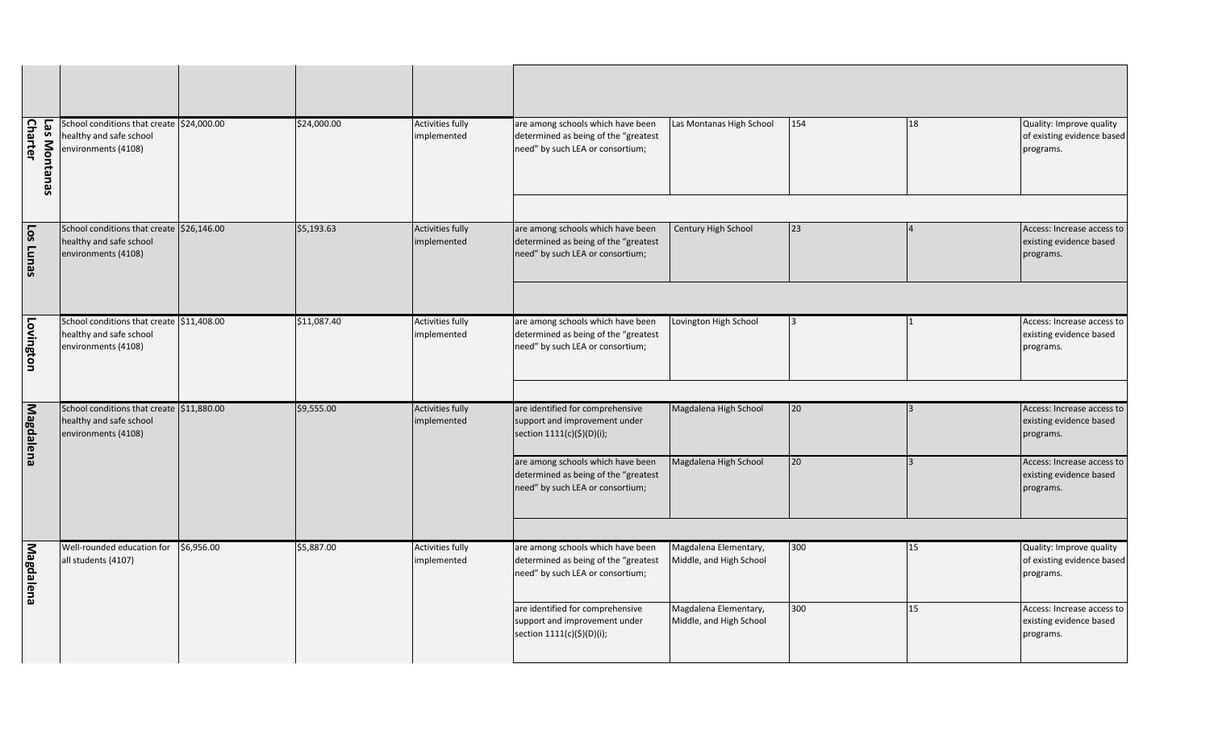| Las Montanas High School                         | 154 | 18 | Quality: Improve quality<br>of existing evidence based<br>programs. |
|--------------------------------------------------|-----|----|---------------------------------------------------------------------|
|                                                  |     |    |                                                                     |
| Century High School                              | 23  | 4  | Access: Increase access to<br>existing evidence based<br>programs.  |
|                                                  |     |    |                                                                     |
| Lovington High School                            | 3   | 1  | Access: Increase access to<br>existing evidence based<br>programs.  |
|                                                  |     |    |                                                                     |
| Magdalena High School                            | 20  | 3  | Access: Increase access to<br>existing evidence based<br>programs.  |
| Magdalena High School                            | 20  | 3  | Access: Increase access to<br>existing evidence based<br>programs.  |
|                                                  |     |    |                                                                     |
| Magdalena Elementary,<br>Middle, and High School | 300 | 15 | Quality: Improve quality<br>of existing evidence based<br>programs. |
| Magdalena Elementary,<br>Middle, and High School | 300 | 15 | Access: Increase access to<br>existing evidence based<br>programs.  |

| Las Montanas<br><b>Charter</b> | School conditions that create \$24,000.00<br>healthy and safe school<br>environments (4108) |            | \$24,000.00 | <b>Activities fully</b><br>implemented | are among schools which have been<br>determined as being of the "greatest<br>need" by such LEA or consortium; | Las Montanas High School                         | 154 |
|--------------------------------|---------------------------------------------------------------------------------------------|------------|-------------|----------------------------------------|---------------------------------------------------------------------------------------------------------------|--------------------------------------------------|-----|
| <b>Los Lunas</b>               | School conditions that create \$26,146.00<br>healthy and safe school<br>environments (4108) |            | \$5,193.63  | <b>Activities fully</b><br>implemented | are among schools which have been<br>determined as being of the "greatest<br>need" by such LEA or consortium; | Century High School                              | 23  |
| Lovington                      | School conditions that create \$11,408.00<br>healthy and safe school<br>environments (4108) |            | \$11,087.40 | <b>Activities fully</b><br>implemented | are among schools which have been<br>determined as being of the "greatest<br>need" by such LEA or consortium; | Lovington High School                            | 3   |
| <b>Magdalena</b>               | School conditions that create \$11,880.00<br>healthy and safe school<br>environments (4108) |            | \$9,555.00  | <b>Activities fully</b><br>implemented | are identified for comprehensive<br>support and improvement under<br>section 1111(c)(\$)(D)(i);               | Magdalena High School                            | 20  |
|                                |                                                                                             |            |             |                                        | are among schools which have been<br>determined as being of the "greatest<br>need" by such LEA or consortium; | Magdalena High School                            | 20  |
| <b>Magdalena</b>               | Well-rounded education for<br>all students (4107)                                           | \$6,956.00 | \$5,887.00  | <b>Activities fully</b><br>implemented | are among schools which have been<br>determined as being of the "greatest<br>need" by such LEA or consortium; | Magdalena Elementary,<br>Middle, and High School | 300 |
|                                |                                                                                             |            |             |                                        | are identified for comprehensive<br>support and improvement under<br>section 1111(c)(\$)(D)(i);               | Magdalena Elementary,<br>Middle, and High School | 300 |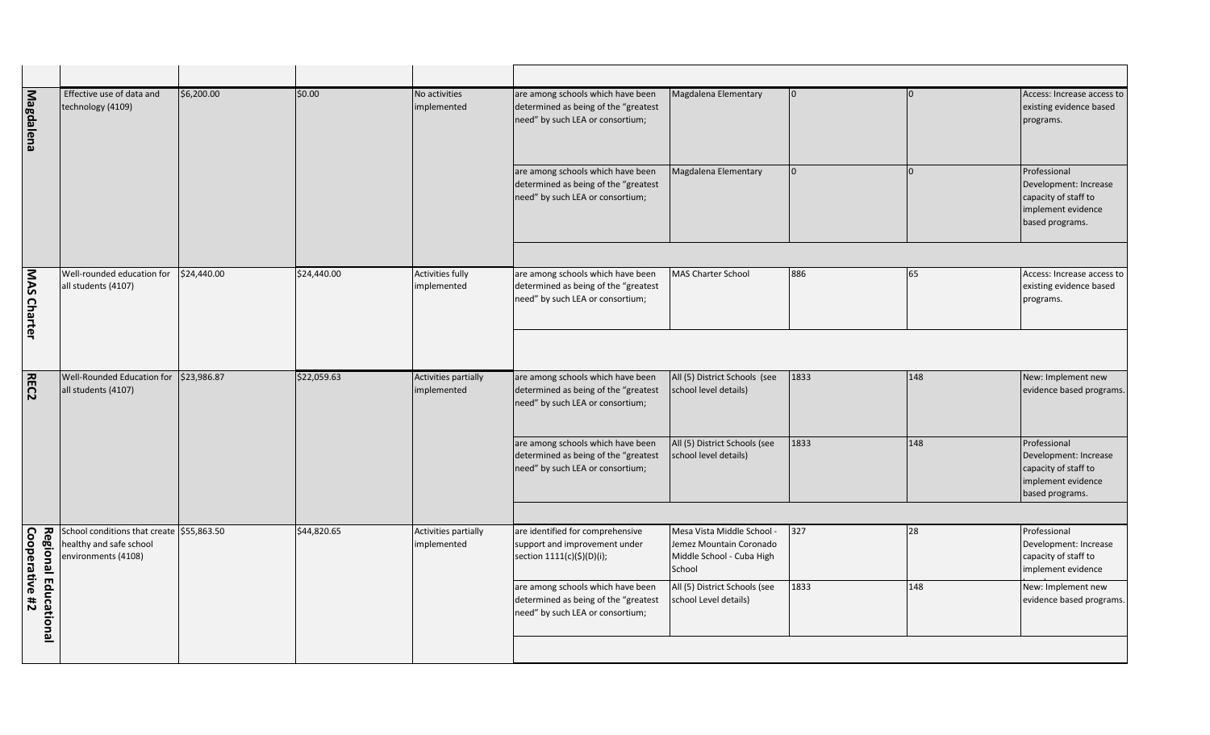| Magdalena               | Effective use of data and<br>technology (4109)                                              | \$6,200.00  | \$0.00      | No activities<br>implemented           | are among schools which have been<br>determined as being of the "greatest<br>need" by such LEA or consortium; | Magdalena Elementary                                                                         | 10.  |     | Access: Increase access to<br>existing evidence based<br>programs.                                     |
|-------------------------|---------------------------------------------------------------------------------------------|-------------|-------------|----------------------------------------|---------------------------------------------------------------------------------------------------------------|----------------------------------------------------------------------------------------------|------|-----|--------------------------------------------------------------------------------------------------------|
|                         |                                                                                             |             |             |                                        | are among schools which have been<br>determined as being of the "greatest<br>need" by such LEA or consortium; | Magdalena Elementary                                                                         | IO.  |     | Professional<br>Development: Increase<br>capacity of staff to<br>implement evidence<br>based programs. |
|                         |                                                                                             |             |             |                                        |                                                                                                               |                                                                                              |      |     |                                                                                                        |
| MAS Charter             | Well-rounded education for<br>all students (4107)                                           | \$24,440.00 | \$24,440.00 | <b>Activities fully</b><br>implemented | are among schools which have been<br>determined as being of the "greatest<br>need" by such LEA or consortium; | MAS Charter School                                                                           | 886  | 65  | Access: Increase access to<br>existing evidence based<br>programs.                                     |
|                         |                                                                                             |             |             |                                        |                                                                                                               |                                                                                              |      |     |                                                                                                        |
| <b>REC2</b>             | Well-Rounded Education for<br>all students (4107)                                           | \$23,986.87 | \$22,059.63 | Activities partially<br>implemented    | are among schools which have been<br>determined as being of the "greatest<br>need" by such LEA or consortium; | All (5) District Schools (see<br>school level details)                                       | 1833 | 148 | New: Implement new<br>evidence based programs.                                                         |
|                         |                                                                                             |             |             |                                        | are among schools which have been<br>determined as being of the "greatest<br>need" by such LEA or consortium; | All (5) District Schools (see<br>school level details)                                       | 1833 | 148 | Professional<br>Development: Increase<br>capacity of staff to<br>implement evidence<br>based programs. |
|                         |                                                                                             |             |             |                                        |                                                                                                               |                                                                                              |      |     |                                                                                                        |
| Cooperative #2<br>Regio | School conditions that create \$55,863.50<br>healthy and safe school<br>environments (4108) |             | \$44,820.65 | Activities partially<br>implemented    | are identified for comprehensive<br>support and improvement under<br>section 1111(c)(\$)(D)(i);               | Mesa Vista Middle School -<br>Jemez Mountain Coronado<br>Middle School - Cuba High<br>School | 327  | 28  | Professional<br>Development: Increase<br>capacity of staff to<br>implement evidence                    |
| nal Educatio            |                                                                                             |             |             |                                        | are among schools which have been<br>determined as being of the "greatest<br>need" by such LEA or consortium; | All (5) District Schools (see<br>school Level details)                                       | 1833 | 148 | New: Implement new<br>evidence based programs.                                                         |
| <u>inal</u>             |                                                                                             |             |             |                                        |                                                                                                               |                                                                                              |      |     |                                                                                                        |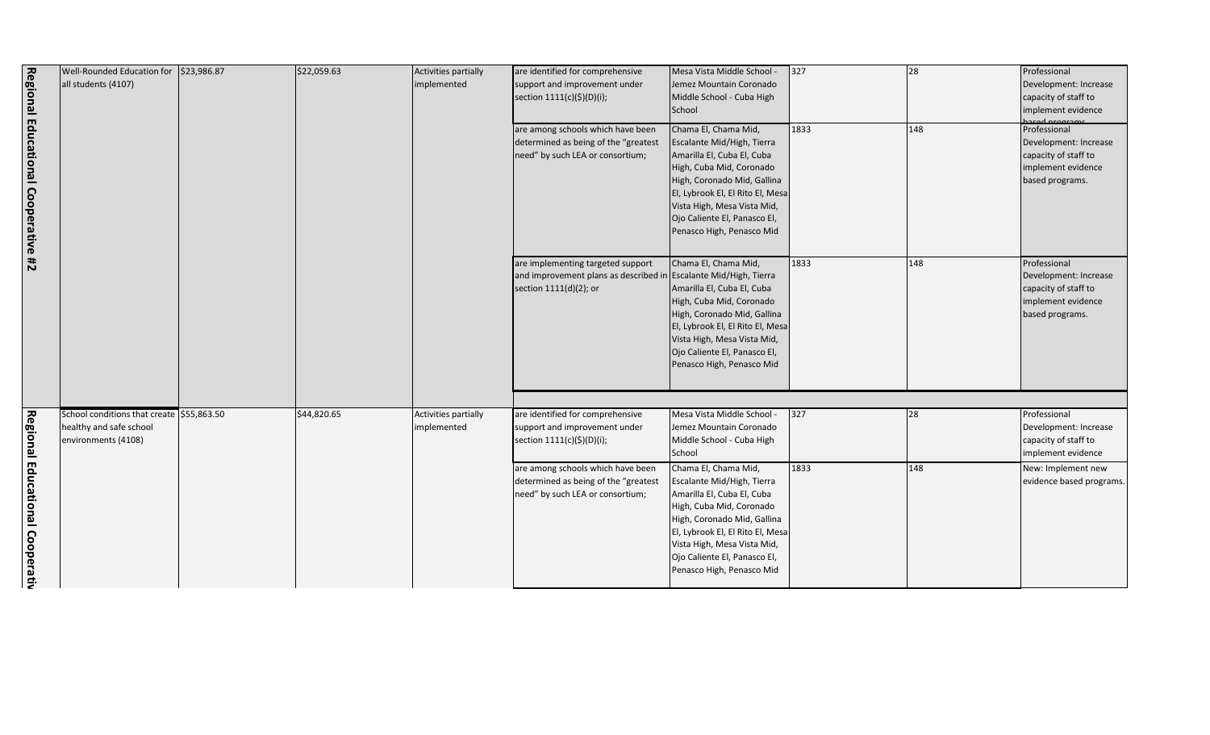| 327  | 28  | Professional<br>Development: Increase<br>capacity of staff to<br>implement evidence                    |
|------|-----|--------------------------------------------------------------------------------------------------------|
| 1833 | 148 | Professional<br>Development: Increase<br>capacity of staff to<br>implement evidence<br>based programs. |
| 1833 | 148 | Professional<br>Development: Increase<br>capacity of staff to<br>implement evidence<br>based programs. |
|      |     |                                                                                                        |
| 327  | 28  | Professional<br>Development: Increase<br>capacity of staff to<br>implement evidence                    |
| 1833 | 148 | New: Implement new<br>evidence based programs.                                                         |

|                                              | Well-Rounded Education for \$23,986.87<br>all students (4107)                               | \$22,059.63 | Activities partially<br>implemented | are identified for comprehensive<br>support and improvement under<br>section 1111(c)(\$)(D)(i);                                 | Mesa Vista Middle School -<br>Jemez Mountain Coronado<br>Middle School - Cuba High<br>School                                                                                                                                                                                | $327$ | 28  | Professional<br>Development: In<br>capacity of staff<br>implement evid                   |
|----------------------------------------------|---------------------------------------------------------------------------------------------|-------------|-------------------------------------|---------------------------------------------------------------------------------------------------------------------------------|-----------------------------------------------------------------------------------------------------------------------------------------------------------------------------------------------------------------------------------------------------------------------------|-------|-----|------------------------------------------------------------------------------------------|
| Regional Educational Cooperative #2          |                                                                                             |             |                                     | are among schools which have been<br>determined as being of the "greatest<br>need" by such LEA or consortium;                   | Chama El, Chama Mid,<br>Escalante Mid/High, Tierra<br>Amarilla El, Cuba El, Cuba<br>High, Cuba Mid, Coronado<br>High, Coronado Mid, Gallina<br>El, Lybrook El, El Rito El, Mesa<br>Vista High, Mesa Vista Mid,<br>Ojo Caliente El, Panasco El,<br>Penasco High, Penasco Mid | 1833  | 148 | Professional<br>Development: In<br>capacity of staff<br>implement evid<br>based programs |
|                                              |                                                                                             |             |                                     | are implementing targeted support<br>and improvement plans as described in Escalante Mid/High, Tierra<br>section 1111(d)(2); or | Chama El, Chama Mid,<br>Amarilla El, Cuba El, Cuba<br>High, Cuba Mid, Coronado<br>High, Coronado Mid, Gallina<br>El, Lybrook El, El Rito El, Mesa<br>Vista High, Mesa Vista Mid,<br>Ojo Caliente El, Panasco El,<br>Penasco High, Penasco Mid                               | 1833  | 148 | Professional<br>Development: In<br>capacity of staff<br>implement evid<br>based programs |
| Regional                                     | School conditions that create \$55,863.50<br>healthy and safe school<br>environments (4108) | \$44,820.65 | Activities partially<br>implemented | are identified for comprehensive<br>support and improvement under<br>section 1111(c)(\$)(D)(i);                                 | Mesa Vista Middle School -<br>Jemez Mountain Coronado<br>Middle School - Cuba High<br>School                                                                                                                                                                                | 327   | 28  | Professional<br>Development: In<br>capacity of staff<br>implement evid                   |
| <b>Educa</b><br><b>Itional</b><br>Cooperativ |                                                                                             |             |                                     | are among schools which have been<br>determined as being of the "greatest<br>need" by such LEA or consortium;                   | Chama El, Chama Mid,<br>Escalante Mid/High, Tierra<br>Amarilla El, Cuba El, Cuba<br>High, Cuba Mid, Coronado<br>High, Coronado Mid, Gallina<br>El, Lybrook El, El Rito El, Mesa<br>Vista High, Mesa Vista Mid,<br>Ojo Caliente El, Panasco El,<br>Penasco High, Penasco Mid | 1833  | 148 | New: Implemen<br>evidence based                                                          |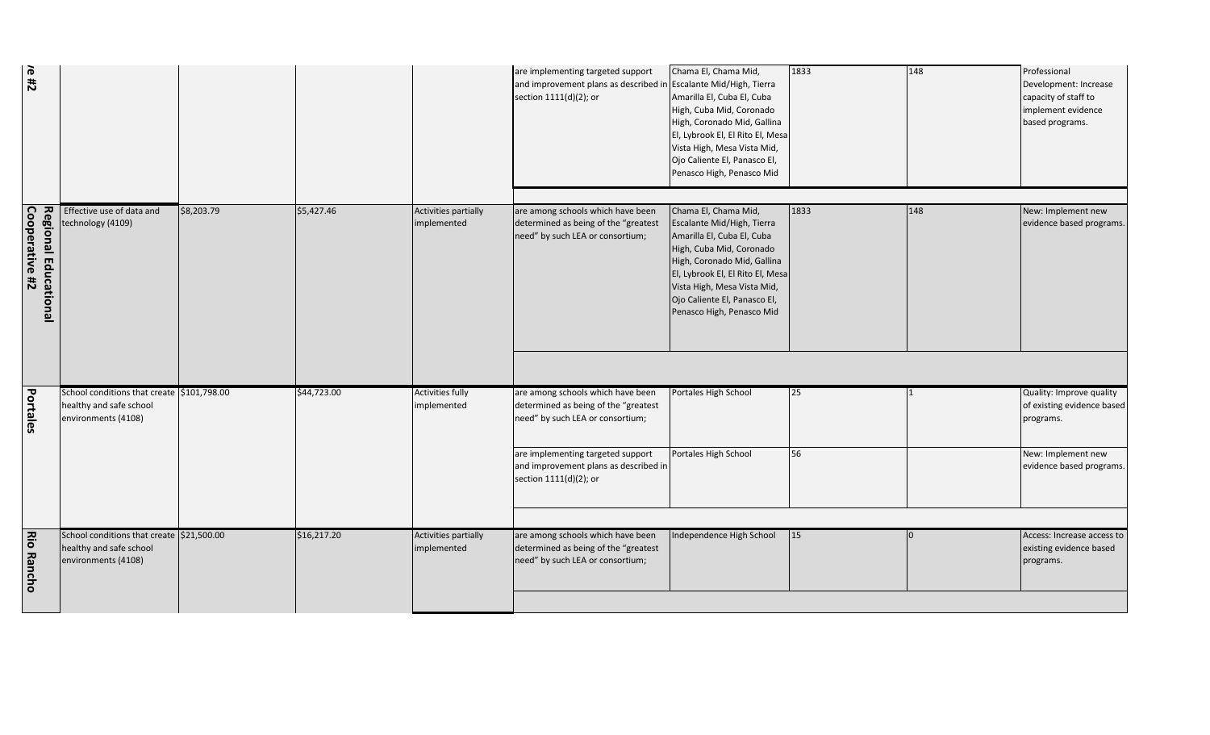|                                               |                                                                                              |            |             |                                        | are implementing targeted support                                                                             | Chama El, Chama Mid,                                                                                                                                                                                                                                | 1833       | 148 | Professional                                                                           |
|-----------------------------------------------|----------------------------------------------------------------------------------------------|------------|-------------|----------------------------------------|---------------------------------------------------------------------------------------------------------------|-----------------------------------------------------------------------------------------------------------------------------------------------------------------------------------------------------------------------------------------------------|------------|-----|----------------------------------------------------------------------------------------|
| $r = 12$                                      |                                                                                              |            |             |                                        | and improvement plans as described i<br>section 1111(d)(2); or                                                | Escalante Mid/High, Tierra<br>Amarilla El, Cuba El, Cuba<br>High, Cuba Mid, Coronado<br>High, Coronado Mid, Gallina<br>El, Lybrook El, El Rito El, Mesa<br>Vista High, Mesa Vista Mid,<br>Ojo Caliente El, Panasco El,<br>Penasco High, Penasco Mid |            |     | Development: Increase<br>capacity of staff to<br>implement evidence<br>based programs. |
|                                               | Effective use of data and<br>technology (4109)                                               | \$8,203.79 | \$5,427.46  | Activities partially<br>implemented    | are among schools which have been<br>determined as being of the "greatest                                     | Chama El, Chama Mid,<br>Escalante Mid/High, Tierra                                                                                                                                                                                                  | 1833       | 148 | New: Implement new<br>evidence based programs.                                         |
| Cooperative #2<br><b>Regional Educational</b> |                                                                                              |            |             |                                        | need" by such LEA or consortium;                                                                              | Amarilla El, Cuba El, Cuba<br>High, Cuba Mid, Coronado<br>High, Coronado Mid, Gallina<br>El, Lybrook El, El Rito El, Mesa<br>Vista High, Mesa Vista Mid,<br>Ojo Caliente El, Panasco El,<br>Penasco High, Penasco Mid                               |            |     |                                                                                        |
|                                               |                                                                                              |            |             |                                        |                                                                                                               |                                                                                                                                                                                                                                                     |            |     |                                                                                        |
| <b>Portales</b>                               | School conditions that create \$101,798.00<br>healthy and safe school<br>environments (4108) |            | \$44,723.00 | <b>Activities fully</b><br>implemented | are among schools which have been<br>determined as being of the "greatest<br>need" by such LEA or consortium; | Portales High School                                                                                                                                                                                                                                | 25         |     | Quality: Improve quality<br>of existing evidence based<br>programs.                    |
|                                               |                                                                                              |            |             |                                        | are implementing targeted support<br>and improvement plans as described in<br>section 1111(d)(2); or          | Portales High School                                                                                                                                                                                                                                | 56         |     | New: Implement new<br>evidence based programs.                                         |
| <b>Rio Rancho</b>                             | School conditions that create \$21,500.00<br>healthy and safe school<br>environments (4108)  |            | \$16,217.20 | Activities partially<br>implemented    | are among schools which have been<br>determined as being of the "greatest<br>need" by such LEA or consortium; | Independence High School                                                                                                                                                                                                                            | $\vert$ 15 | In. | Access: Increase access to<br>existing evidence based<br>programs.                     |
|                                               |                                                                                              |            |             |                                        |                                                                                                               |                                                                                                                                                                                                                                                     |            |     |                                                                                        |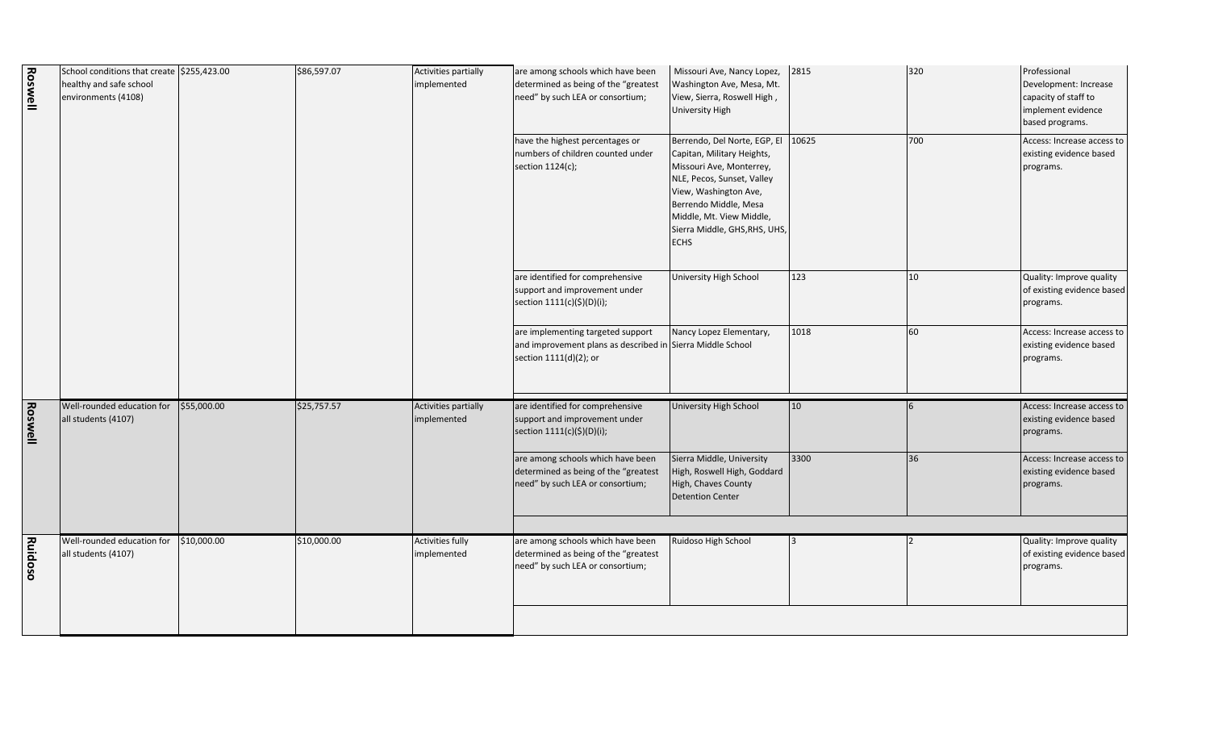| 2815  | 320                           |                                                                                                        |
|-------|-------------------------------|--------------------------------------------------------------------------------------------------------|
|       |                               | Professional<br>Development: Increase<br>capacity of staff to<br>implement evidence<br>based programs. |
| 10625 | 700                           | Access: Increase access to<br>existing evidence based<br>programs.                                     |
| 123   | 10                            | Quality: Improve quality<br>of existing evidence based<br>programs.                                    |
| 1018  | 60                            | Access: Increase access to<br>existing evidence based<br>programs.                                     |
| 10    | 6                             | Access: Increase access to<br>existing evidence based<br>programs.                                     |
| 3300  | 36                            | Access: Increase access to<br>existing evidence based<br>programs.                                     |
|       |                               |                                                                                                        |
| 3     | 2                             | Quality: Improve quality<br>of existing evidence based<br>programs.                                    |
|       | Sierra Middle, GHS, RHS, UHS, |                                                                                                        |

| <b>Roswell</b> | School conditions that create \$255,423.00<br>healthy and safe school<br>environments (4108) |             | \$86,597.07 | Activities partially<br>implemented    | are among schools which have been<br>determined as being of the "greatest<br>need" by such LEA or consortium;             | Missouri Ave, Nancy Lopez,<br>Washington Ave, Mesa, Mt.<br>View, Sierra, Roswell High,<br><b>University High</b>                                                                                                                                   | 2815         |
|----------------|----------------------------------------------------------------------------------------------|-------------|-------------|----------------------------------------|---------------------------------------------------------------------------------------------------------------------------|----------------------------------------------------------------------------------------------------------------------------------------------------------------------------------------------------------------------------------------------------|--------------|
|                |                                                                                              |             |             |                                        | have the highest percentages or<br>numbers of children counted under<br>section 1124(c);                                  | Berrendo, Del Norte, EGP, El<br>Capitan, Military Heights,<br>Missouri Ave, Monterrey,<br>NLE, Pecos, Sunset, Valley<br>View, Washington Ave,<br>Berrendo Middle, Mesa<br>Middle, Mt. View Middle,<br>Sierra Middle, GHS, RHS, UHS,<br><b>ECHS</b> | 10625        |
|                |                                                                                              |             |             |                                        | are identified for comprehensive<br>support and improvement under<br>section 1111(c)(\$)(D)(i);                           | University High School                                                                                                                                                                                                                             | 123          |
|                |                                                                                              |             |             |                                        | are implementing targeted support<br>and improvement plans as described in Sierra Middle School<br>section 1111(d)(2); or | Nancy Lopez Elementary,                                                                                                                                                                                                                            | 1018         |
| <b>Roswell</b> | Well-rounded education for<br>all students (4107)                                            | \$55,000.00 | \$25,757.57 | Activities partially<br>implemented    | are identified for comprehensive<br>support and improvement under<br>section 1111(c)(\$)(D)(i);                           | University High School                                                                                                                                                                                                                             | $ 10\rangle$ |
|                |                                                                                              |             |             |                                        | are among schools which have been<br>determined as being of the "greatest<br>need" by such LEA or consortium;             | Sierra Middle, University<br>High, Roswell High, Goddard<br>High, Chaves County<br><b>Detention Center</b>                                                                                                                                         | 3300         |
| <b>Ruidoso</b> | Well-rounded education for<br>all students (4107)                                            | \$10,000.00 | \$10,000.00 | <b>Activities fully</b><br>implemented | are among schools which have been<br>determined as being of the "greatest<br>need" by such LEA or consortium;             | Ruidoso High School                                                                                                                                                                                                                                | 3            |
|                |                                                                                              |             |             |                                        |                                                                                                                           |                                                                                                                                                                                                                                                    |              |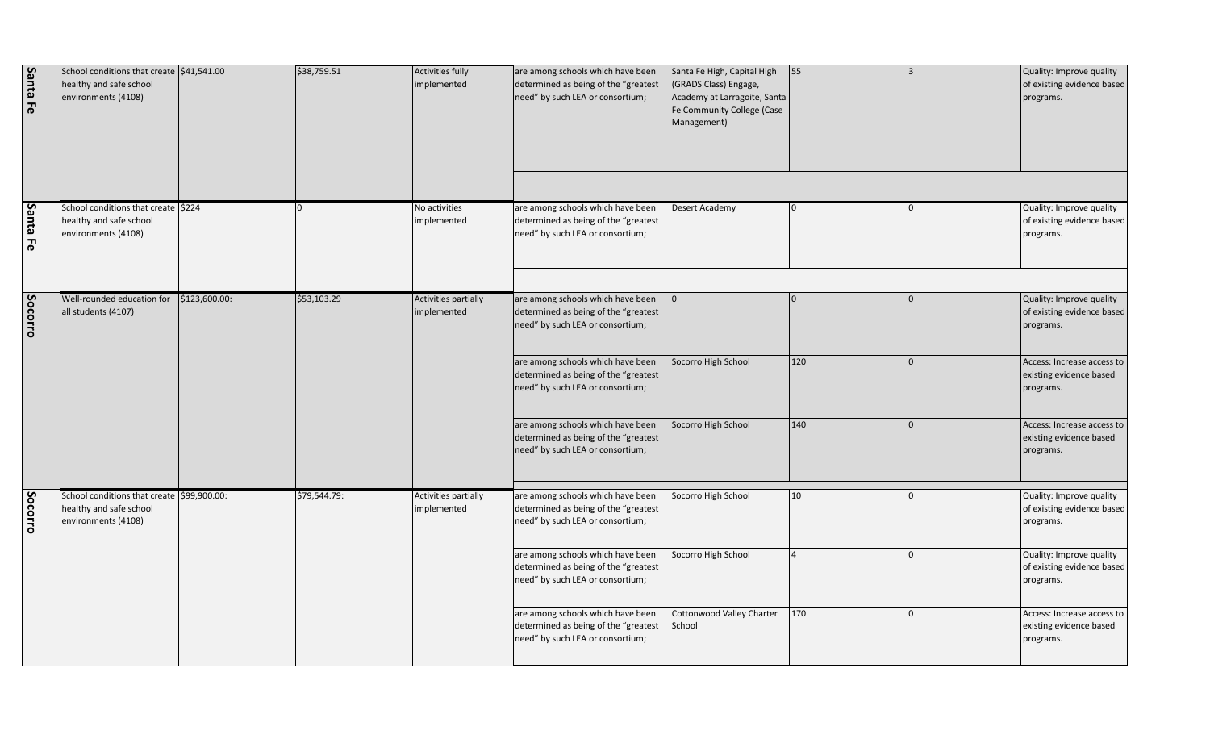| Santa Fe | School conditions that create \$41,541.00<br>healthy and safe school<br>environments (4108)  |               | \$38,759.51  | Activities fully<br>implemented            | are among schools which have been<br>determined as being of the "greatest<br>need" by such LEA or consortium; | Santa Fe High, Capital High<br>(GRADS Class) Engage,<br>Academy at Larragoite, Santa<br>Fe Community College (Case<br>Management) | 55           | Quality: Improve quality<br>of existing evidence based<br>programs. |
|----------|----------------------------------------------------------------------------------------------|---------------|--------------|--------------------------------------------|---------------------------------------------------------------------------------------------------------------|-----------------------------------------------------------------------------------------------------------------------------------|--------------|---------------------------------------------------------------------|
| Santa Fe | School conditions that create \$224<br>healthy and safe school<br>environments (4108)        |               |              | No activities<br>implemented               | are among schools which have been<br>determined as being of the "greatest<br>need" by such LEA or consortium; | Desert Academy                                                                                                                    | <sup>0</sup> | Quality: Improve quality<br>of existing evidence based<br>programs. |
| Socorro  | Well-rounded education for<br>all students (4107)                                            | \$123,600.00: | \$53,103.29  | <b>Activities partially</b><br>implemented | are among schools which have been<br>determined as being of the "greatest<br>need" by such LEA or consortium; |                                                                                                                                   |              | Quality: Improve quality<br>of existing evidence based<br>programs. |
|          |                                                                                              |               |              |                                            | are among schools which have been<br>determined as being of the "greatest<br>need" by such LEA or consortium; | Socorro High School                                                                                                               | 120          | Access: Increase access to<br>existing evidence based<br>programs.  |
|          |                                                                                              |               |              |                                            | are among schools which have been<br>determined as being of the "greatest<br>need" by such LEA or consortium; | Socorro High School                                                                                                               | 140          | Access: Increase access to<br>existing evidence based<br>programs.  |
| Socorro  | School conditions that create \$99,900.00:<br>healthy and safe school<br>environments (4108) |               | \$79,544.79: | Activities partially<br>implemented        | are among schools which have been<br>determined as being of the "greatest<br>need" by such LEA or consortium; | Socorro High School                                                                                                               | 10           | Quality: Improve quality<br>of existing evidence based<br>programs. |
|          |                                                                                              |               |              |                                            | are among schools which have been<br>determined as being of the "greatest<br>need" by such LEA or consortium; | Socorro High School                                                                                                               |              | Quality: Improve quality<br>of existing evidence based<br>programs. |
|          |                                                                                              |               |              |                                            | are among schools which have been<br>determined as being of the "greatest<br>need" by such LEA or consortium; | Cottonwood Valley Charter<br>School                                                                                               | 170          | Access: Increase access to<br>existing evidence based<br>programs.  |